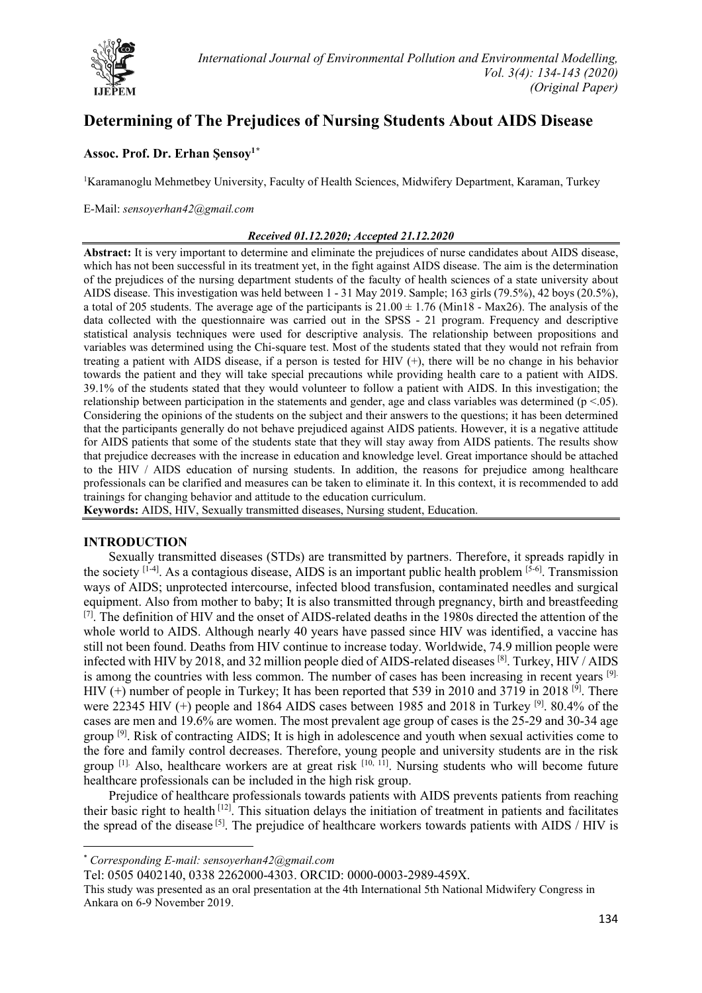

# **Determining of The Prejudices of Nursing Students About AIDS Disease**

## **Assoc. Prof. Dr. Erhan Şensoy1[\\*](#page-0-0)**

<sup>1</sup>Karamanoglu Mehmetbey University, Faculty of Health Sciences, Midwifery Department, Karaman, Turkey

#### E-Mail: *[sensoyerhan42@gmail.com](mailto:sensoyerhan42@gmail.com)*

#### *Received 01.12.2020; Accepted 21.12.2020*

**Abstract:** It is very important to determine and eliminate the prejudices of nurse candidates about AIDS disease, which has not been successful in its treatment yet, in the fight against AIDS disease. The aim is the determination of the prejudices of the nursing department students of the faculty of health sciences of a state university about AIDS disease. This investigation was held between 1 - 31 May 2019. Sample; 163 girls (79.5%), 42 boys (20.5%), a total of 205 students. The average age of the participants is  $21.00 \pm 1.76$  (Min18 - Max26). The analysis of the data collected with the questionnaire was carried out in the SPSS - 21 program. Frequency and descriptive statistical analysis techniques were used for descriptive analysis. The relationship between propositions and variables was determined using the Chi-square test. Most of the students stated that they would not refrain from treating a patient with AIDS disease, if a person is tested for HIV (+), there will be no change in his behavior towards the patient and they will take special precautions while providing health care to a patient with AIDS. 39.1% of the students stated that they would volunteer to follow a patient with AIDS. In this investigation; the relationship between participation in the statements and gender, age and class variables was determined ( $p < .05$ ). Considering the opinions of the students on the subject and their answers to the questions; it has been determined that the participants generally do not behave prejudiced against AIDS patients. However, it is a negative attitude for AIDS patients that some of the students state that they will stay away from AIDS patients. The results show that prejudice decreases with the increase in education and knowledge level. Great importance should be attached to the HIV / AIDS education of nursing students. In addition, the reasons for prejudice among healthcare professionals can be clarified and measures can be taken to eliminate it. In this context, it is recommended to add trainings for changing behavior and attitude to the education curriculum.

**Keywords:** AIDS, HIV, Sexually transmitted diseases, Nursing student, Education.

#### **INTRODUCTION**

Sexually transmitted diseases (STDs) are transmitted by partners. Therefore, it spreads rapidly in the society  $[1-4]$ . As a contagious disease, AIDS is an important public health problem  $[5-6]$ . Transmission ways of AIDS; unprotected intercourse, infected blood transfusion, contaminated needles and surgical equipment. Also from mother to baby; It is also transmitted through pregnancy, birth and breastfeeding [7]. The definition of HIV and the onset of AIDS-related deaths in the 1980s directed the attention of the whole world to AIDS. Although nearly 40 years have passed since HIV was identified, a vaccine has still not been found. Deaths from HIV continue to increase today. Worldwide, 74.9 million people were infected with HIV by 2018, and 32 million people died of AIDS-related diseases  $^{[8]}$ . Turkey, HIV / AIDS is among the countries with less common. The number of cases has been increasing in recent years [9]. HIV (+) number of people in Turkey; It has been reported that 539 in 2010 and 3719 in 2018 <sup>[9]</sup>. There were 22345 HIV (+) people and 1864 AIDS cases between 1985 and 2018 in Turkey <sup>[9]</sup>. 80.4% of the cases are men and 19.6% are women. The most prevalent age group of cases is the 25-29 and 30-34 age group  $^{[9]}$ . Risk of contracting AIDS; It is high in adolescence and youth when sexual activities come to the fore and family control decreases. Therefore, young people and university students are in the risk group  $[1]$ . Also, healthcare workers are at great risk  $[10, 11]$ . Nursing students who will become future healthcare professionals can be included in the high risk group.

Prejudice of healthcare professionals towards patients with AIDS prevents patients from reaching their basic right to health [12]. This situation delays the initiation of treatment in patients and facilitates the spread of the disease [5]. The prejudice of healthcare workers towards patients with AIDS / HIV is

Tel: 0505 0402140, 0338 2262000-4303. ORCID: 0000-0003-2989-459X.

<span id="page-0-0"></span><sup>\*</sup> *Corresponding E-mail: sensoyerhan42@gmail.com*

This study was presented as an oral presentation at the 4th International 5th National Midwifery Congress in Ankara on 6-9 November 2019.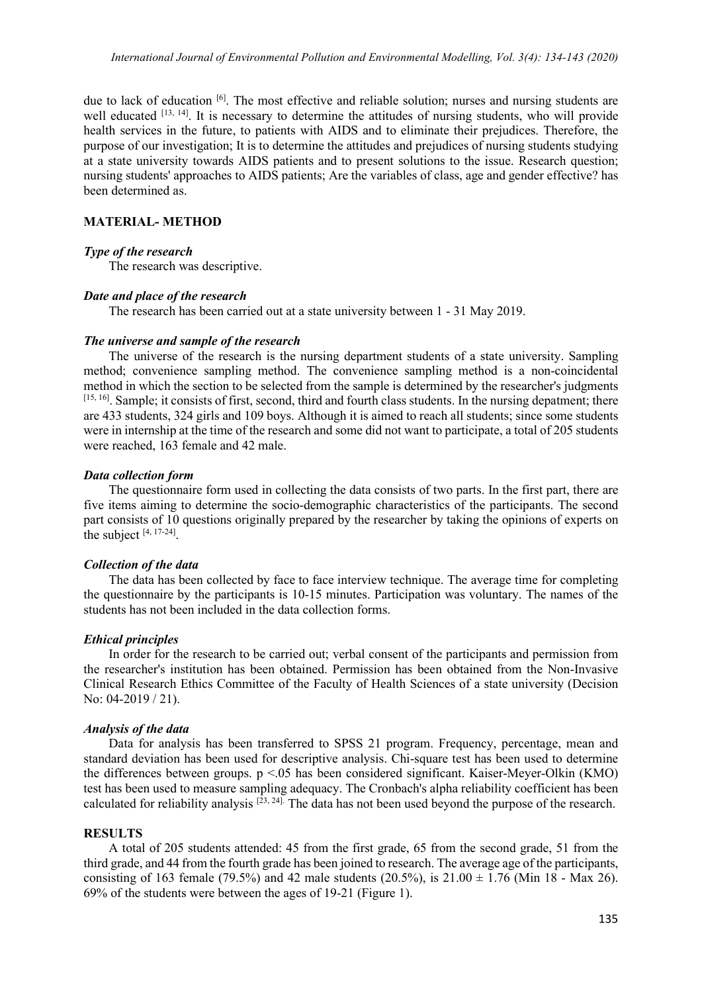due to lack of education <sup>[6]</sup>. The most effective and reliable solution; nurses and nursing students are well educated [13, 14]. It is necessary to determine the attitudes of nursing students, who will provide health services in the future, to patients with AIDS and to eliminate their prejudices. Therefore, the purpose of our investigation; It is to determine the attitudes and prejudices of nursing students studying at a state university towards AIDS patients and to present solutions to the issue. Research question; nursing students' approaches to AIDS patients; Are the variables of class, age and gender effective? has been determined as.

#### **MATERIAL- METHOD**

#### *Type of the research*

The research was descriptive.

#### *Date and place of the research*

The research has been carried out at a state university between 1 - 31 May 2019.

#### *The universe and sample of the research*

The universe of the research is the nursing department students of a state university. Sampling method; convenience sampling method. The convenience sampling method is a non-coincidental method in which the section to be selected from the sample is determined by the researcher's judgments [15, 16]. Sample; it consists of first, second, third and fourth class students. In the nursing depatment; there are 433 students, 324 girls and 109 boys. Although it is aimed to reach all students; since some students were in internship at the time of the research and some did not want to participate, a total of 205 students were reached, 163 female and 42 male.

## *Data collection form*

The questionnaire form used in collecting the data consists of two parts. In the first part, there are five items aiming to determine the socio-demographic characteristics of the participants. The second part consists of 10 questions originally prepared by the researcher by taking the opinions of experts on the subject  $[4, 17-24]$ .

#### *Collection of the data*

The data has been collected by face to face interview technique. The average time for completing the questionnaire by the participants is 10-15 minutes. Participation was voluntary. The names of the students has not been included in the data collection forms.

#### *Ethical principles*

In order for the research to be carried out; verbal consent of the participants and permission from the researcher's institution has been obtained. Permission has been obtained from the Non-Invasive Clinical Research Ethics Committee of the Faculty of Health Sciences of a state university (Decision No: 04-2019 / 21).

#### *Analysis of the data*

Data for analysis has been transferred to SPSS 21 program. Frequency, percentage, mean and standard deviation has been used for descriptive analysis. Chi-square test has been used to determine the differences between groups. p <.05 has been considered significant. Kaiser-Meyer-Olkin (KMO) test has been used to measure sampling adequacy. The Cronbach's alpha reliability coefficient has been calculated for reliability analysis  $[23, 24]$ . The data has not been used beyond the purpose of the research.

#### **RESULTS**

A total of 205 students attended: 45 from the first grade, 65 from the second grade, 51 from the third grade, and 44 from the fourth grade has been joined to research. The average age of the participants, consisting of 163 female (79.5%) and 42 male students (20.5%), is  $21.00 \pm 1.76$  (Min 18 - Max 26). 69% of the students were between the ages of 19-21 (Figure 1).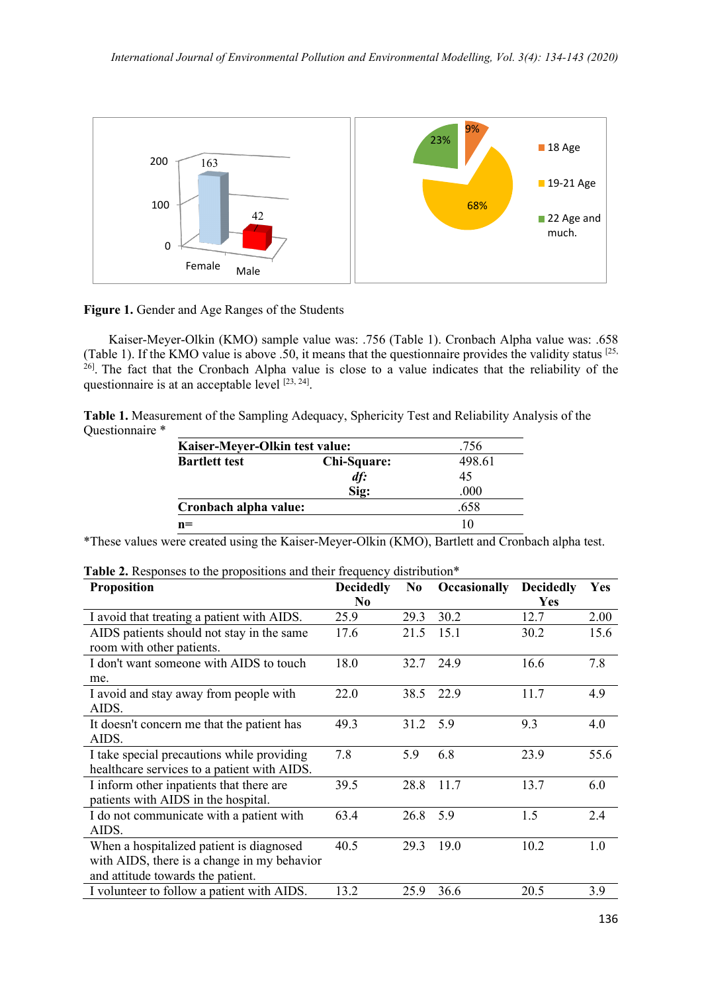

**Figure 1.** Gender and Age Ranges of the Students

Kaiser-Meyer-Olkin (KMO) sample value was: .756 (Table 1). Cronbach Alpha value was: .658 (Table 1). If the KMO value is above .50, it means that the questionnaire provides the validity status [25,  $^{26}$ . The fact that the Cronbach Alpha value is close to a value indicates that the reliability of the questionnaire is at an acceptable level  $[23, 24]$ .

**Table 1.** Measurement of the Sampling Adequacy, Sphericity Test and Reliability Analysis of the Questionnaire \*

| Kaiser-Meyer-Olkin test value: |             | .756   |
|--------------------------------|-------------|--------|
| <b>Bartlett test</b>           | Chi-Square: | 498.61 |
|                                | df:         | 45     |
|                                | Sig:        | .000   |
| Cronbach alpha value:          |             | .658   |
| $n=$                           |             | 10     |

\*These values were created using the Kaiser-Meyer-Olkin (KMO), Bartlett and Cronbach alpha test.

| <b>Proposition</b>                          | <b>Decidedly</b> | N <sub>0</sub> | <b>Occasionally</b> | <b>Decidedly</b> | Yes  |
|---------------------------------------------|------------------|----------------|---------------------|------------------|------|
|                                             | N <sub>0</sub>   |                |                     | Yes              |      |
| I avoid that treating a patient with AIDS.  | 25.9             | 29.3           | 30.2                | 12.7             | 2.00 |
| AIDS patients should not stay in the same   | 17.6             | 21.5           | 15.1                | 30.2             | 15.6 |
| room with other patients.                   |                  |                |                     |                  |      |
| I don't want someone with AIDS to touch     | 18.0             | 32.7           | 24.9                | 16.6             | 7.8  |
| me.                                         |                  |                |                     |                  |      |
| I avoid and stay away from people with      | 22.0             | 38.5           | 22.9                | 11.7             | 4.9  |
| AIDS.                                       |                  |                |                     |                  |      |
| It doesn't concern me that the patient has  | 49.3             | 31.2           | 5.9                 | 9.3              | 4.0  |
| AIDS.                                       |                  |                |                     |                  |      |
| I take special precautions while providing  | 7.8              | 5.9            | 6.8                 | 23.9             | 55.6 |
| healthcare services to a patient with AIDS. |                  |                |                     |                  |      |
| I inform other inpatients that there are    | 39.5             | 28.8           | 11.7                | 13.7             | 6.0  |
| patients with AIDS in the hospital.         |                  |                |                     |                  |      |
| I do not communicate with a patient with    | 63.4             | 26.8           | 5.9                 | 1.5              | 2.4  |
| AIDS.                                       |                  |                |                     |                  |      |
| When a hospitalized patient is diagnosed    | 40.5             | 29.3           | 19.0                | 10.2             | 1.0  |
| with AIDS, there is a change in my behavior |                  |                |                     |                  |      |
| and attitude towards the patient.           |                  |                |                     |                  |      |
| I volunteer to follow a patient with AIDS.  | 13.2             | 25.9           | 36.6                | 20.5             | 3.9  |

**Table 2.** Responses to the propositions and their frequency distribution<sup>\*</sup>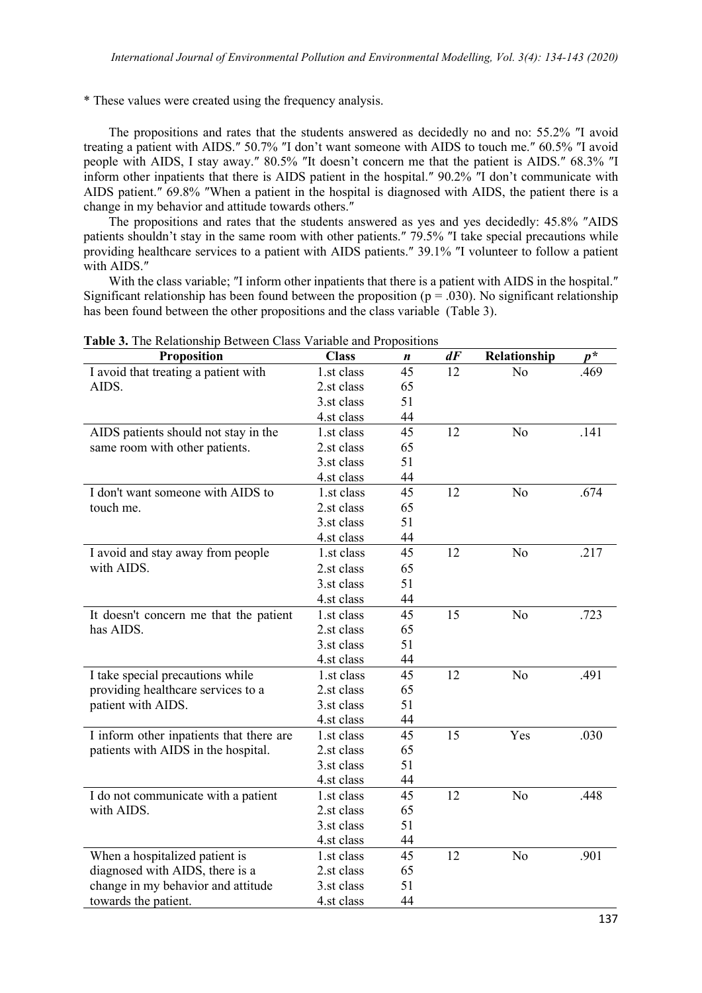\* These values were created using the frequency analysis.

The propositions and rates that the students answered as decidedly no and no: 55.2% ″I avoid treating a patient with AIDS.″ 50.7% ″I don't want someone with AIDS to touch me.″ 60.5% ″I avoid people with AIDS, I stay away.″ 80.5% ″It doesn't concern me that the patient is AIDS.″ 68.3% ″I inform other inpatients that there is AIDS patient in the hospital.″ 90.2% ″I don't communicate with AIDS patient.″ 69.8% ″When a patient in the hospital is diagnosed with AIDS, the patient there is a change in my behavior and attitude towards others.″

The propositions and rates that the students answered as yes and yes decidedly: 45.8% ″AIDS patients shouldn't stay in the same room with other patients.″ 79.5% ″I take special precautions while providing healthcare services to a patient with AIDS patients.″ 39.1% ″I volunteer to follow a patient with AIDS.″

With the class variable; ″I inform other inpatients that there is a patient with AIDS in the hospital.″ Significant relationship has been found between the proposition ( $p = .030$ ). No significant relationship has been found between the other propositions and the class variable (Table 3).

| <b>Proposition</b>                       | <b>Class</b> | n  | $d\vec{F}$ | Relationship   | $p^*$ |
|------------------------------------------|--------------|----|------------|----------------|-------|
| I avoid that treating a patient with     | 1.st class   | 45 | 12         | N <sub>o</sub> | .469  |
| AIDS.                                    | 2.st class   | 65 |            |                |       |
|                                          | 3.st class   | 51 |            |                |       |
|                                          | 4.st class   | 44 |            |                |       |
| AIDS patients should not stay in the     | 1.st class   | 45 | 12         | N <sub>o</sub> | .141  |
| same room with other patients.           | 2.st class   | 65 |            |                |       |
|                                          | 3.st class   | 51 |            |                |       |
|                                          | 4.st class   | 44 |            |                |       |
| I don't want someone with AIDS to        | 1.st class   | 45 | 12         | N <sub>o</sub> | .674  |
| touch me.                                | 2.st class   | 65 |            |                |       |
|                                          | 3.st class   | 51 |            |                |       |
|                                          | 4.st class   | 44 |            |                |       |
| I avoid and stay away from people        | 1.st class   | 45 | 12         | N <sub>o</sub> | .217  |
| with AIDS.                               | 2.st class   | 65 |            |                |       |
|                                          | 3.st class   | 51 |            |                |       |
|                                          | 4.st class   | 44 |            |                |       |
| It doesn't concern me that the patient   | 1.st class   | 45 | 15         | N <sub>o</sub> | .723  |
| has AIDS.                                | 2.st class   | 65 |            |                |       |
|                                          | 3.st class   | 51 |            |                |       |
|                                          | 4.st class   | 44 |            |                |       |
| I take special precautions while         | 1.st class   | 45 | 12         | N <sub>o</sub> | .491  |
| providing healthcare services to a       | 2.st class   | 65 |            |                |       |
| patient with AIDS.                       | 3.st class   | 51 |            |                |       |
|                                          | 4.st class   | 44 |            |                |       |
| I inform other inpatients that there are | 1.st class   | 45 | 15         | Yes            | .030  |
| patients with AIDS in the hospital.      | 2.st class   | 65 |            |                |       |
|                                          | 3.st class   | 51 |            |                |       |
|                                          | 4.st class   | 44 |            |                |       |
| I do not communicate with a patient      | 1.st class   | 45 | 12         | N <sub>o</sub> | .448  |
| with AIDS.                               | 2.st class   | 65 |            |                |       |
|                                          | 3.st class   | 51 |            |                |       |
|                                          | 4.st class   | 44 |            |                |       |
| When a hospitalized patient is           | 1.st class   | 45 | 12         | N <sub>o</sub> | .901  |
| diagnosed with AIDS, there is a          | 2.st class   | 65 |            |                |       |
| change in my behavior and attitude       | 3.st class   | 51 |            |                |       |
| towards the patient.                     | 4.st class   | 44 |            |                |       |

**Table 3.** The Relationship Between Class Variable and Propositions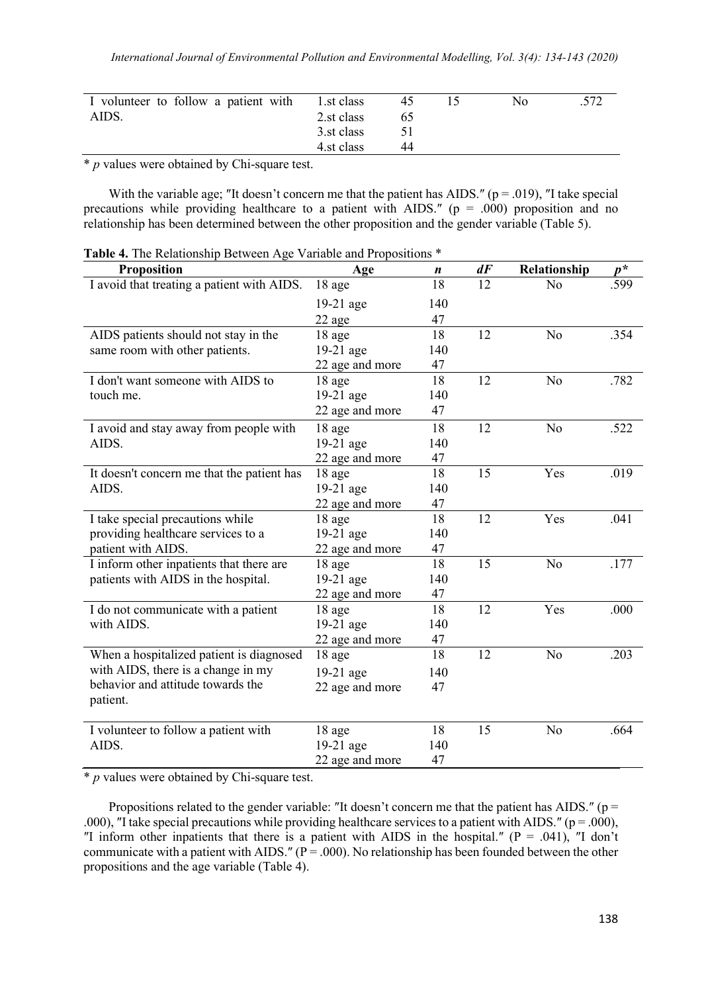| I volunteer to follow a patient with 1.st class |            | 45. | N0 | .572 |
|-------------------------------------------------|------------|-----|----|------|
| AIDS.                                           | 2.st class | ჩბ  |    |      |
|                                                 | 3.st class |     |    |      |
|                                                 | 4.st class | 44  |    |      |

\* *p* values were obtained by Chi-square test.

With the variable age; "It doesn't concern me that the patient has AIDS." ( $p = .019$ ), "I take special precautions while providing healthcare to a patient with AIDS." ( $p = .000$ ) proposition and no relationship has been determined between the other proposition and the gender variable (Table 5).

**Table 4.** The Relationship Between Age Variable and Propositions \*

| Proposition                                | Age             | n   | dF | Relationship   | $p^*$ |
|--------------------------------------------|-----------------|-----|----|----------------|-------|
| I avoid that treating a patient with AIDS. | 18 age          | 18  | 12 | No             | .599  |
|                                            | $19-21$ age     | 140 |    |                |       |
|                                            | 22 age          | 47  |    |                |       |
| AIDS patients should not stay in the       | 18 age          | 18  | 12 | N <sub>o</sub> | .354  |
| same room with other patients.             | 19-21 age       | 140 |    |                |       |
|                                            | 22 age and more | 47  |    |                |       |
| I don't want someone with AIDS to          | 18 age          | 18  | 12 | N <sub>o</sub> | .782  |
| touch me.                                  | 19-21 age       | 140 |    |                |       |
|                                            | 22 age and more | 47  |    |                |       |
| I avoid and stay away from people with     | 18 age          | 18  | 12 | N <sub>o</sub> | .522  |
| AIDS.                                      | 19-21 age       | 140 |    |                |       |
|                                            | 22 age and more | 47  |    |                |       |
| It doesn't concern me that the patient has | 18 age          | 18  | 15 | Yes            | .019  |
| AIDS.                                      | 19-21 age       | 140 |    |                |       |
|                                            | 22 age and more | 47  |    |                |       |
| I take special precautions while           | 18 age          | 18  | 12 | Yes            | .041  |
| providing healthcare services to a         | $19-21$ age     | 140 |    |                |       |
| patient with AIDS.                         | 22 age and more | 47  |    |                |       |
| I inform other inpatients that there are   | 18 age          | 18  | 15 | N <sub>o</sub> | .177  |
| patients with AIDS in the hospital.        | 19-21 age       | 140 |    |                |       |
|                                            | 22 age and more | 47  |    |                |       |
| I do not communicate with a patient        | 18 age          | 18  | 12 | Yes            | .000  |
| with AIDS.                                 | 19-21 age       | 140 |    |                |       |
|                                            | 22 age and more | 47  |    |                |       |
| When a hospitalized patient is diagnosed   | 18 age          | 18  | 12 | N <sub>o</sub> | .203  |
| with AIDS, there is a change in my         | 19-21 age       | 140 |    |                |       |
| behavior and attitude towards the          | 22 age and more | 47  |    |                |       |
| patient.                                   |                 |     |    |                |       |
| I volunteer to follow a patient with       | 18 age          | 18  | 15 | No             | .664  |
| AIDS.                                      | 19-21 age       | 140 |    |                |       |
|                                            | 22 age and more | 47  |    |                |       |

\* *p* values were obtained by Chi-square test.

Propositions related to the gender variable: "It doesn't concern me that the patient has AIDS." ( $p =$ .000), "I take special precautions while providing healthcare services to a patient with AIDS." ( $p = .000$ ), "I inform other inpatients that there is a patient with AIDS in the hospital." ( $P = .041$ ), "I don't communicate with a patient with AIDS." ( $P = .000$ ). No relationship has been founded between the other propositions and the age variable (Table 4).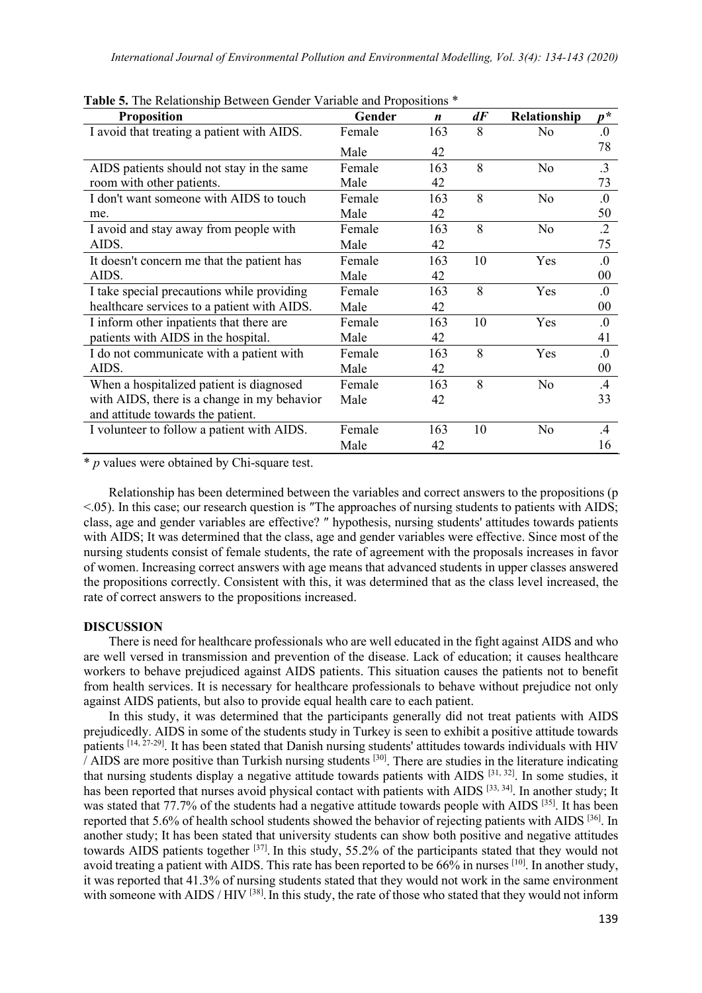| <b>Proposition</b>                          | Gender | $\boldsymbol{n}$ | dF | Relationship   | $p^*$      |
|---------------------------------------------|--------|------------------|----|----------------|------------|
| I avoid that treating a patient with AIDS.  | Female | 163              | 8  | N <sub>o</sub> | 0.         |
|                                             | Male   | 42               |    |                | 78         |
| AIDS patients should not stay in the same   | Female | 163              | 8  | N <sub>o</sub> | $\cdot$ 3  |
| room with other patients.                   | Male   | 42               |    |                | 73         |
| I don't want someone with AIDS to touch     | Female | 163              | 8  | N <sub>o</sub> | 0.         |
| me.                                         | Male   | 42               |    |                | 50         |
| I avoid and stay away from people with      | Female | 163              | 8  | No             | $\cdot$ .2 |
| AIDS.                                       | Male   | 42               |    |                | 75         |
| It doesn't concern me that the patient has  | Female | 163              | 10 | Yes            | 0.         |
| AIDS.                                       | Male   | 42               |    |                | 00         |
| I take special precautions while providing  | Female | 163              | 8  | Yes            | 0.         |
| healthcare services to a patient with AIDS. | Male   | 42               |    |                | 00         |
| I inform other inpatients that there are    | Female | 163              | 10 | Yes            | 0.         |
| patients with AIDS in the hospital.         | Male   | 42               |    |                | 41         |
| I do not communicate with a patient with    | Female | 163              | 8  | Yes            | 0.         |
| AIDS.                                       | Male   | 42               |    |                | 00         |
| When a hospitalized patient is diagnosed    | Female | 163              | 8  | N <sub>o</sub> | $.4\,$     |
| with AIDS, there is a change in my behavior | Male   | 42               |    |                | 33         |
| and attitude towards the patient.           |        |                  |    |                |            |
| I volunteer to follow a patient with AIDS.  | Female | 163              | 10 | N <sub>o</sub> | $\cdot$ 4  |
|                                             | Male   | 42               |    |                | 16         |

**Table 5.** The Relationship Between Gender Variable and Propositions \*

\* *p* values were obtained by Chi-square test.

Relationship has been determined between the variables and correct answers to the propositions (p <.05). In this case; our research question is ″The approaches of nursing students to patients with AIDS; class, age and gender variables are effective? ″ hypothesis, nursing students' attitudes towards patients with AIDS; It was determined that the class, age and gender variables were effective. Since most of the nursing students consist of female students, the rate of agreement with the proposals increases in favor of women. Increasing correct answers with age means that advanced students in upper classes answered the propositions correctly. Consistent with this, it was determined that as the class level increased, the rate of correct answers to the propositions increased.

## **DISCUSSION**

There is need for healthcare professionals who are well educated in the fight against AIDS and who are well versed in transmission and prevention of the disease. Lack of education; it causes healthcare workers to behave prejudiced against AIDS patients. This situation causes the patients not to benefit from health services. It is necessary for healthcare professionals to behave without prejudice not only against AIDS patients, but also to provide equal health care to each patient.

In this study, it was determined that the participants generally did not treat patients with AIDS prejudicedly. AIDS in some of the students study in Turkey is seen to exhibit a positive attitude towards patients [14, 27-29]. It has been stated that Danish nursing students' attitudes towards individuals with HIV  $\hat{I}$  AIDS are more positive than Turkish nursing students <sup>[30]</sup>. There are studies in the literature indicating that nursing students display a negative attitude towards patients with AIDS [31, 32]. In some studies, it has been reported that nurses avoid physical contact with patients with AIDS [33, 34]. In another study; It was stated that 77.7% of the students had a negative attitude towards people with AIDS [35]. It has been reported that 5.6% of health school students showed the behavior of rejecting patients with AIDS [36]. In another study; It has been stated that university students can show both positive and negative attitudes towards AIDS patients together [37]. In this study, 55.2% of the participants stated that they would not avoid treating a patient with AIDS. This rate has been reported to be 66% in nurses [10]. In another study, it was reported that 41.3% of nursing students stated that they would not work in the same environment with someone with AIDS / HIV <sup>[38]</sup>. In this study, the rate of those who stated that they would not inform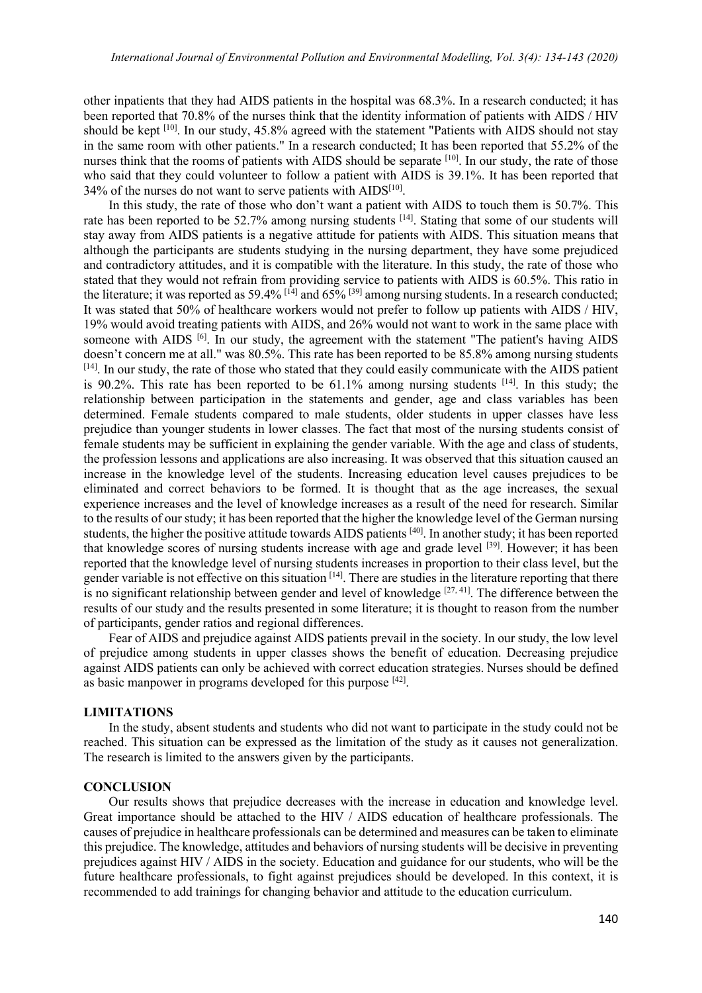other inpatients that they had AIDS patients in the hospital was 68.3%. In a research conducted; it has been reported that 70.8% of the nurses think that the identity information of patients with AIDS / HIV should be kept [10]. In our study, 45.8% agreed with the statement "Patients with AIDS should not stay in the same room with other patients." In a research conducted; It has been reported that 55.2% of the nurses think that the rooms of patients with AIDS should be separate [10]. In our study, the rate of those who said that they could volunteer to follow a patient with AIDS is 39.1%. It has been reported that  $34\%$  of the nurses do not want to serve patients with AIDS<sup>[10]</sup>.

In this study, the rate of those who don't want a patient with AIDS to touch them is 50.7%. This rate has been reported to be 52.7% among nursing students <sup>[14]</sup>. Stating that some of our students will stay away from AIDS patients is a negative attitude for patients with AIDS. This situation means that although the participants are students studying in the nursing department, they have some prejudiced and contradictory attitudes, and it is compatible with the literature. In this study, the rate of those who stated that they would not refrain from providing service to patients with AIDS is 60.5%. This ratio in the literature; it was reported as 59.4%  $[14]$  and  $65\%$   $[39]$  among nursing students. In a research conducted; It was stated that 50% of healthcare workers would not prefer to follow up patients with AIDS / HIV, 19% would avoid treating patients with AIDS, and 26% would not want to work in the same place with someone with AIDS <sup>[6]</sup>. In our study, the agreement with the statement "The patient's having AIDS doesn't concern me at all." was 80.5%. This rate has been reported to be 85.8% among nursing students [14]. In our study, the rate of those who stated that they could easily communicate with the AIDS patient is 90.2%. This rate has been reported to be  $61.1\%$  among nursing students <sup>[14]</sup>. In this study; the relationship between participation in the statements and gender, age and class variables has been determined. Female students compared to male students, older students in upper classes have less prejudice than younger students in lower classes. The fact that most of the nursing students consist of female students may be sufficient in explaining the gender variable. With the age and class of students, the profession lessons and applications are also increasing. It was observed that this situation caused an increase in the knowledge level of the students. Increasing education level causes prejudices to be eliminated and correct behaviors to be formed. It is thought that as the age increases, the sexual experience increases and the level of knowledge increases as a result of the need for research. Similar to the results of our study; it has been reported that the higher the knowledge level of the German nursing students, the higher the positive attitude towards AIDS patients [40]. In another study; it has been reported that knowledge scores of nursing students increase with age and grade level [39]. However; it has been reported that the knowledge level of nursing students increases in proportion to their class level, but the gender variable is not effective on this situation <sup>[14]</sup>. There are studies in the literature reporting that there is no significant relationship between gender and level of knowledge  $[27, 41]$ . The difference between the results of our study and the results presented in some literature; it is thought to reason from the number of participants, gender ratios and regional differences.

Fear of AIDS and prejudice against AIDS patients prevail in the society. In our study, the low level of prejudice among students in upper classes shows the benefit of education. Decreasing prejudice against AIDS patients can only be achieved with correct education strategies. Nurses should be defined as basic manpower in programs developed for this purpose [42].

#### **LIMITATIONS**

In the study, absent students and students who did not want to participate in the study could not be reached. This situation can be expressed as the limitation of the study as it causes not generalization. The research is limited to the answers given by the participants.

#### **CONCLUSION**

Our results shows that prejudice decreases with the increase in education and knowledge level. Great importance should be attached to the HIV / AIDS education of healthcare professionals. The causes of prejudice in healthcare professionals can be determined and measures can be taken to eliminate this prejudice. The knowledge, attitudes and behaviors of nursing students will be decisive in preventing prejudices against HIV / AIDS in the society. Education and guidance for our students, who will be the future healthcare professionals, to fight against prejudices should be developed. In this context, it is recommended to add trainings for changing behavior and attitude to the education curriculum.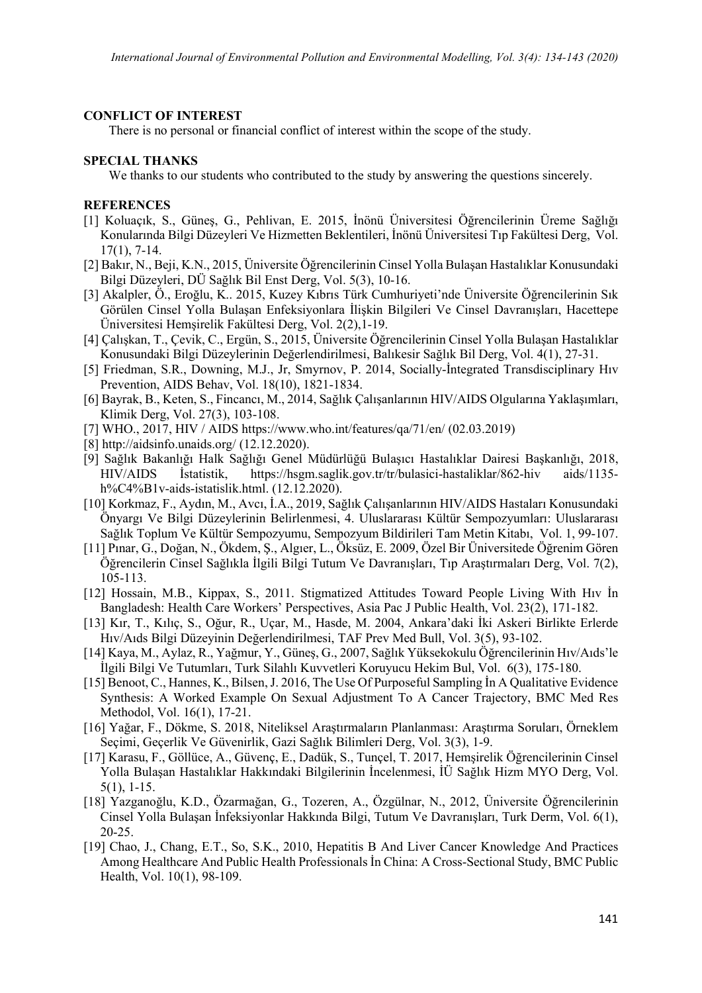## **CONFLICT OF INTEREST**

There is no personal or financial conflict of interest within the scope of the study.

## **SPECIAL THANKS**

We thanks to our students who contributed to the study by answering the questions sincerely.

## **REFERENCES**

- [1] Koluaçık, S., Güneş, G., Pehlivan, E. 2015, İnönü Üniversitesi Öğrencilerinin Üreme Sağlığı Konularında Bilgi Düzeyleri Ve Hizmetten Beklentileri, İnönü Üniversitesi Tıp Fakültesi Derg, Vol. 17(1), 7-14.
- [2] Bakır, N., Beji, K.N., 2015, Üniversite Öğrencilerinin Cinsel Yolla Bulaşan Hastalıklar Konusundaki Bilgi Düzeyleri, DÜ Sağlık Bil Enst Derg, Vol. 5(3), 10-16.
- [3] Akalpler, Ö., Eroğlu, K.. 2015, Kuzey Kıbrıs Türk Cumhuriyeti'nde Üniversite Öğrencilerinin Sık Görülen Cinsel Yolla Bulaşan Enfeksiyonlara İlişkin Bilgileri Ve Cinsel Davranışları, Hacettepe Üniversitesi Hemşirelik Fakültesi Derg, Vol. 2(2),1-19.
- [4] Çalışkan, T., Çevik, C., Ergün, S., 2015, Üniversite Öğrencilerinin Cinsel Yolla Bulaşan Hastalıklar Konusundaki Bilgi Düzeylerinin Değerlendirilmesi, Balıkesir Sağlık Bil Derg, Vol. 4(1), 27-31.
- [5] Friedman, S.R., Downing, M.J., Jr, Smyrnov, P. 2014, Socially-İntegrated Transdisciplinary Hıv Prevention, AIDS Behav, Vol. 18(10), 1821-1834.
- [6] Bayrak, B., Keten, S., Fincancı, M., 2014, Sağlık Çalışanlarının HIV/AIDS Olgularına Yaklaşımları, Klimik Derg, Vol. 27(3), 103-108.
- [7] WHO., 2017, HIV / AIDS [https://www.who.int/features/qa/71/en/ \(02.03.2019\)](https://www.who.int/features/qa/71/en/%20(02.03.2019)
- [8]<http://aidsinfo.unaids.org/> (12.12.2020).
- [9] Sağlık Bakanlığı Halk Sağlığı Genel Müdürlüğü Bulaşıcı Hastalıklar Dairesi Başkanlığı, 2018, HIV/AIDS İstatistik, <https://hsgm.saglik.gov.tr/tr/bulasici-hastaliklar/862-hiv> aids/1135 h%C4%B1v-aids-istatislik.html. (12.12.2020).
- [10] Korkmaz, F., Aydın, M., Avcı, İ.A., 2019, Sağlık Çalışanlarının HIV/AIDS Hastaları Konusundaki Önyargı Ve Bilgi Düzeylerinin Belirlenmesi, 4. Uluslararası Kültür Sempozyumları: Uluslararası Sağlık Toplum Ve Kültür Sempozyumu, Sempozyum Bildirileri Tam Metin Kitabı, Vol. 1, 99-107.
- [11] Pınar, G., Doğan, N., Ökdem, Ş., Algıer, L., Öksüz, E. 2009, Özel Bir Üniversitede Öğrenim Gören Öğrencilerin Cinsel Sağlıkla İlgili Bilgi Tutum Ve Davranışları, Tıp Araştırmaları Derg, Vol. 7(2), 105-113.
- [12] Hossain, M.B., Kippax, S., 2011. Stigmatized Attitudes Toward People Living With Hıv İn Bangladesh: Health Care Workers' Perspectives, Asia Pac J Public Health, Vol. 23(2), 171-182.
- [13] Kır, T., Kılıç, S., Oğur, R., Uçar, M., Hasde, M. 2004, Ankara'daki İki Askeri Birlikte Erlerde Hıv/Aıds Bilgi Düzeyinin Değerlendirilmesi, TAF Prev Med Bull, Vol. 3(5), 93-102.
- [14] Kaya, M., Aylaz, R., Yağmur, Y., Güneş, G., 2007, Sağlık Yüksekokulu Öğrencilerinin Hıv/Aıds'le İlgili Bilgi Ve Tutumları, Turk Silahlı Kuvvetleri Koruyucu Hekim Bul, Vol. 6(3), 175-180.
- [15] Benoot, C., Hannes, K., Bilsen, J. 2016, The Use Of Purposeful Sampling İn A Qualitative Evidence Synthesis: A Worked Example On Sexual Adjustment To A Cancer Trajectory, BMC Med Res Methodol, Vol. 16(1), 17-21.
- [16] Yağar, F., Dökme, S. 2018, Niteliksel Araştırmaların Planlanması: Araştırma Soruları, Örneklem Seçimi, Geçerlik Ve Güvenirlik, Gazi Sağlık Bilimleri Derg, Vol. 3(3), 1-9.
- [17] Karasu, F., Göllüce, A., Güvenç, E., Dadük, S., Tunçel, T. 2017, Hemşirelik Öğrencilerinin Cinsel Yolla Bulaşan Hastalıklar Hakkındaki Bilgilerinin İncelenmesi, İÜ Sağlık Hizm MYO Derg, Vol. 5(1), 1-15.
- [18] Yazganoğlu, K.D., Özarmağan, G., Tozeren, A., Özgülnar, N., 2012, Üniversite Öğrencilerinin Cinsel Yolla Bulaşan İnfeksiyonlar Hakkında Bilgi, Tutum Ve Davranışları, Turk Derm, Vol. 6(1), 20-25.
- [19] Chao, J., Chang, E.T., So, S.K., 2010, Hepatitis B And Liver Cancer Knowledge And Practices Among Healthcare And Public Health Professionals İn China: A Cross-Sectional Study, BMC Public Health, Vol. 10(1), 98-109.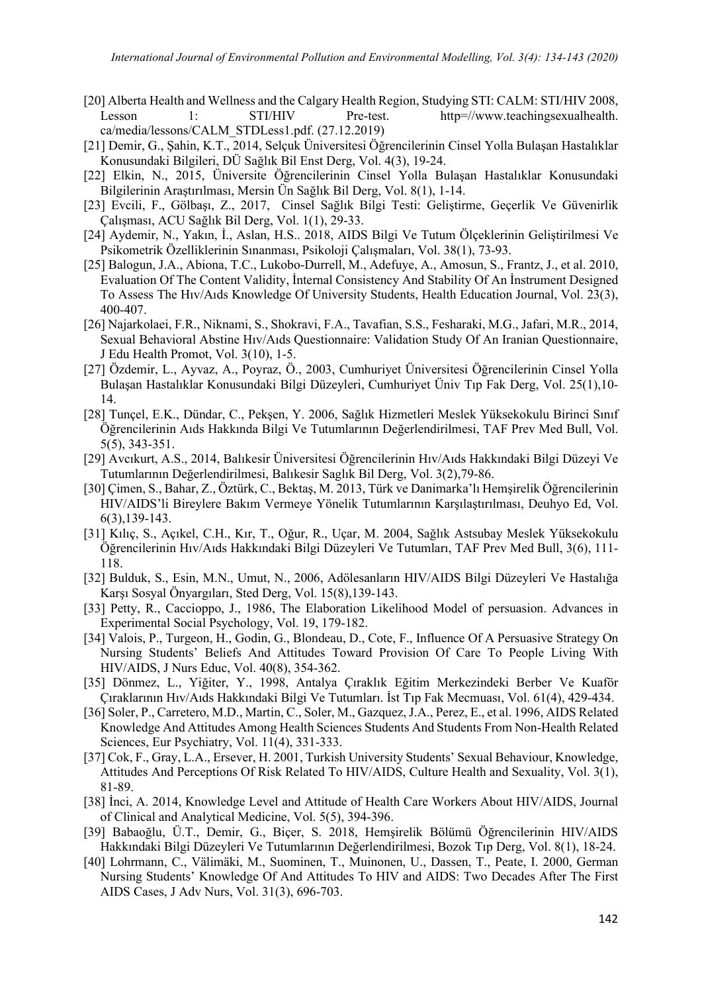- [20] Alberta Health and Wellness and the Calgary Health Region, Studying STI: CALM: STI/HIV 2008, Lesson 1: STI/HIV Pre-test. http=//www.teachingsexualhealth. ca/media/lessons/CALM\_STDLess1.pdf. (27.12.2019)
- [21] Demir, G., Şahin, K.T., 2014, Selçuk Üniversitesi Öğrencilerinin Cinsel Yolla Bulaşan Hastalıklar Konusundaki Bilgileri, DÜ Sağlık Bil Enst Derg, Vol. 4(3), 19-24.
- [22] Elkin, N., 2015, Üniversite Öğrencilerinin Cinsel Yolla Bulaşan Hastalıklar Konusundaki Bilgilerinin Araştırılması, Mersin Ün Sağlık Bil Derg, Vol. 8(1), 1-14.
- [23] Evcili, F., Gölbaşı, Z., 2017, Cinsel Sağlık Bilgi Testi: Geliştirme, Geçerlik Ve Güvenirlik Çalışması, ACU Sağlık Bil Derg, Vol. 1(1), 29-33.
- [24] Aydemir, N., Yakın, İ., Aslan, H.S.. 2018, AIDS Bilgi Ve Tutum Ölçeklerinin Geliştirilmesi Ve Psikometrik Özelliklerinin Sınanması, Psikoloji Çalışmaları, Vol. 38(1), 73-93.
- [25] [Balogun,](http://www.educationforhealth.net/searchresult.asp?search=&author=JA+Balogun&journal=Y&but_search=Search&entries=10&pg=1&s=0) J.A.[, Abiona,](http://www.educationforhealth.net/searchresult.asp?search=&author=TC+Abiona&journal=Y&but_search=Search&entries=10&pg=1&s=0) T.C., [Lukobo-Durrell,](http://www.educationforhealth.net/searchresult.asp?search=&author=M+Lukobo%2DDurrell&journal=Y&but_search=Search&entries=10&pg=1&s=0) M., [Adefuye,](http://www.educationforhealth.net/searchresult.asp?search=&author=A+Adefuye&journal=Y&but_search=Search&entries=10&pg=1&s=0) A., [Amosun,](http://www.educationforhealth.net/searchresult.asp?search=&author=S+Amosun&journal=Y&but_search=Search&entries=10&pg=1&s=0) S., [Frantz,](http://www.educationforhealth.net/searchresult.asp?search=&author=J+Frantz&journal=Y&but_search=Search&entries=10&pg=1&s=0) J., et al. 2010, Evaluation Of The Content Validity, İnternal Consistency And Stability Of An İnstrument Designed To Assess The Hıv/Aıds Knowledge Of University Students, Health Education Journal, Vol. 23(3), 400-407.
- [26] Najarkolaei, F.R., Niknami, S., Shokravi, F.A., Tavafian, S.S., Fesharaki, M.G., Jafari, M.R., 2014, Sexual Behavioral Abstine Hıv/Aıds Questionnaire: Validation Study Of An Iranian Questionnaire, [J Edu Health Promot,](https://www.ncbi.nlm.nih.gov/pmc/articles/PMC3977414/) Vol. 3(10), 1-5.
- [27] Özdemir, L., Ayvaz, A., Poyraz, Ö., 2003, Cumhuriyet Üniversitesi Öğrencilerinin Cinsel Yolla Bulaşan Hastalıklar Konusundaki Bilgi Düzeyleri, Cumhuriyet Üniv Tıp Fak Derg, Vol. 25(1),10- 14.
- [28] Tunçel, E.K., Dündar, C., Pekşen, Y. 2006, Sağlık Hizmetleri Meslek Yüksekokulu Birinci Sınıf Öğrencilerinin Aıds Hakkında Bilgi Ve Tutumlarının Değerlendirilmesi, TAF Prev Med Bull, Vol. 5(5), 343-351.
- [29] Avcıkurt, A.S., 2014, Balıkesir Üniversitesi Öğrencilerinin Hıv/Aıds Hakkındaki Bilgi Düzeyi Ve Tutumlarının Değerlendirilmesi, Balıkesir Saglık Bil Derg, Vol. 3(2),79-86.
- [30] Çimen, S., Bahar, Z., Öztürk, C., Bektaş, M. 2013, Türk ve Danimarka'lı Hemşirelik Öğrencilerinin HIV/AIDS'li Bireylere Bakım Vermeye Yönelik Tutumlarının Karşılaştırılması, Deuhyo Ed, Vol. 6(3),139-143.
- [31] Kılıç, S., Açıkel, C.H., Kır, T., Oğur, R., Uçar, M. 2004, Sağlık Astsubay Meslek Yüksekokulu Öğrencilerinin Hıv/Aıds Hakkındaki Bilgi Düzeyleri Ve Tutumları, TAF Prev Med Bull, 3(6), 111- 118.
- [32] Bulduk, S., Esin, M.N., Umut, N., 2006, Adölesanların HIV/AIDS Bilgi Düzeyleri Ve Hastalığa Karşı Sosyal Önyargıları, Sted Derg, Vol. 15(8),139-143.
- [33] Petty, R., Caccioppo, J., 1986, The Elaboration Likelihood Model of persuasion. Advances in Experimental Social Psychology, Vol. 19, 179-182.
- [34] Valois, P., Turgeon, H., Godin, G., Blondeau, D., Cote, F., Influence Of A Persuasive Strategy On Nursing Students' Beliefs And Attitudes Toward Provision Of Care To People Living With HIV/AIDS, J Nurs Educ, Vol. 40(8), 354-362.
- [35] Dönmez, L., Yiğiter, Y., 1998, Antalya Çıraklık Eğitim Merkezindeki Berber Ve Kuaför Çıraklarının Hıv/Aıds Hakkındaki Bilgi Ve Tutumları. İst Tıp Fak Mecmuası, Vol. 61(4), 429-434.
- [36] Soler, P., Carretero, M.D., Martin, C., Soler, M., Gazquez, J.A., Perez, E., et al. 1996, AIDS Related Knowledge And Attitudes Among Health Sciences Students And Students From Non-Health Related Sciences, Eur Psychiatry, Vol. 11(4), 331-333.
- [37] Cok, F., Gray, L.A., Ersever, H. 2001, Turkish University Students' Sexual Behaviour, Knowledge, Attitudes And Perceptions Of Risk Related To HIV/AIDS, Culture Health and Sexuality, Vol. 3(1), 81-89.
- [38] İnci, A. 2014, Knowledge Level and Attitude of Health Care Workers About HIV/AIDS, Journal of Clinical and Analytical Medicine, Vol. 5(5), 394-396.
- [39] Babaoğlu, Ü.T., Demir, G., Biçer, S. 2018, Hemşirelik Bölümü Öğrencilerinin HIV/AIDS Hakkındaki Bilgi Düzeyleri Ve Tutumlarının Değerlendirilmesi, Bozok Tıp Derg, Vol. 8(1), 18-24.
- [40] Lohrmann, C., Välimäki, M., Suominen, T., Muinonen, U., Dassen, T., Peate, I. 2000, German Nursing Students' Knowledge Of And Attitudes To HIV and AIDS: Two Decades After The First AIDS Cases, J Adv Nurs, Vol. 31(3), 696-703.